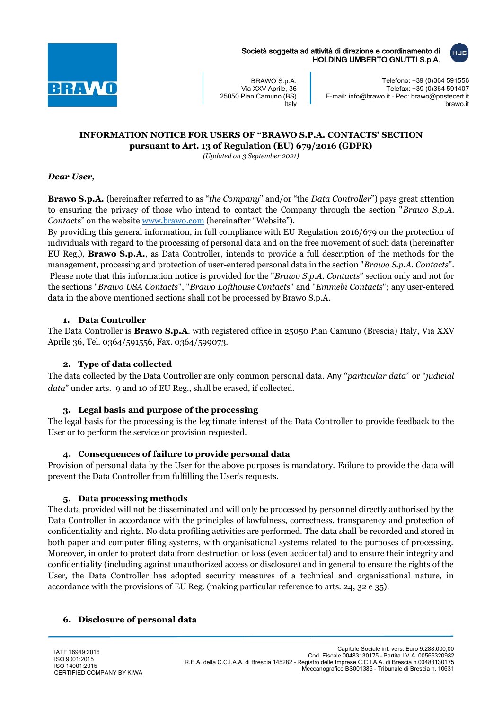

Società soggetta ad attività di direzione e coordinamento di HOLDING UMBERTO GNUTTI S.p.A.

BRAWO S.p.A. Via XXV Aprile, 36 25050 Pian Camuno (BS) **Italy** 

Telefono: +39 (0)364 591556 Telefax: +39 (0)364 591407 E-mail: info@brawo.it – Pec: brawo@postecert.it brawo.it

# **INFORMATION NOTICE FOR USERS OF "BRAWO S.P.A. CONTACTS' SECTION pursuant to Art. 13 of Regulation (EU) 679/2016 (GDPR)**

*(Updated on 3 September 2021)*

### *Dear User,*

**Brawo S.p.A.** (hereinafter referred to as "*the Company*" and/or "the *Data Controller*") pays great attention to ensuring the privacy of those who intend to contact the Company through the section "*Brawo S.p.A. Conta*cts" on the website [www.brawo.com](http://www.brawo.com/) (hereinafter "Website").

By providing this general information, in full compliance with EU Regulation 2016/679 on the protection of individuals with regard to the processing of personal data and on the free movement of such data (hereinafter EU Reg.), **Brawo S.p.A.**, as Data Controller, intends to provide a full description of the methods for the management, processing and protection of user-entered personal data in the section "*Brawo S.p.A. Contacts*". Please note that this information notice is provided for the "*Brawo S.p.A. Contacts*" section only and not for the sections "*Brawo USA Contacts*", "*Brawo Lofthouse Contacts*" and "*Emmebi Contacts*"; any user-entered data in the above mentioned sections shall not be processed by Brawo S.p.A.

# **1. Data Controller**

The Data Controller is **Brawo S.p.A**. with registered office in 25050 Pian Camuno (Brescia) Italy, Via XXV Aprile 36, Tel. 0364/591556, Fax. 0364/599073.

# **2. Type of data collected**

The data collected by the Data Controller are only common personal data. Any "*particular data*" or "*judicial data*" under arts. 9 and 10 of EU Reg., shall be erased, if collected.

# **3. Legal basis and purpose of the processing**

The legal basis for the processing is the legitimate interest of the Data Controller to provide feedback to the User or to perform the service or provision requested.

#### **4. Consequences of failure to provide personal data**

Provision of personal data by the User for the above purposes is mandatory. Failure to provide the data will prevent the Data Controller from fulfilling the User's requests.

#### **5. Data processing methods**

The data provided will not be disseminated and will only be processed by personnel directly authorised by the Data Controller in accordance with the principles of lawfulness, correctness, transparency and protection of confidentiality and rights. No data profiling activities are performed. The data shall be recorded and stored in both paper and computer filing systems, with organisational systems related to the purposes of processing. Moreover, in order to protect data from destruction or loss (even accidental) and to ensure their integrity and confidentiality (including against unauthorized access or disclosure) and in general to ensure the rights of the User, the Data Controller has adopted security measures of a technical and organisational nature, in accordance with the provisions of EU Reg. (making particular reference to arts. 24, 32 e 35).

#### **6. Disclosure of personal data**